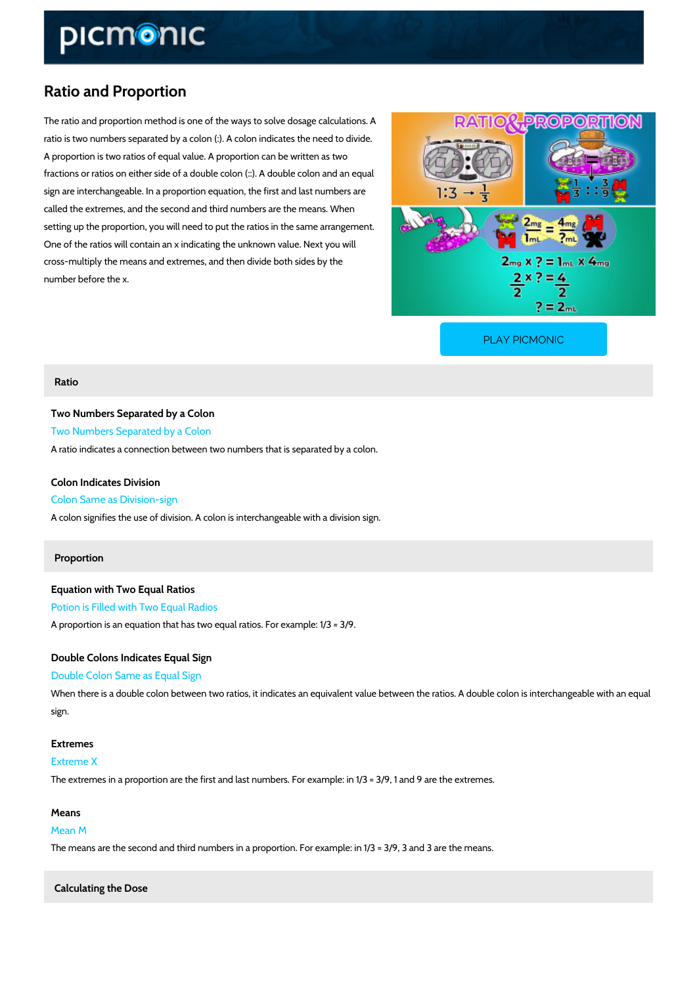## Ratio and Proportion

The ratio and proportion method is one of the ways to solve dosage calculations. A ratio is two numbers separated by a colon (:). A colon indicates the need to divide. A proportion is two ratios of equal value. A proportion can be written as two fractions or ratios on either side of a double colon (::). A double colon and an equal sign are interchangeable. In a proportion equation, the first and last numbers are called the extremes, and the second and third numbers are the means. When setting up the proportion, you will need to put the ratios in the same arrangement. One of the ratios will contain an x indicating the unknown value. Next you will cross-multiply the means and extremes, and then divide both sides by the number before the x.

[PLAY PICMONIC](https://www.picmonic.com/learn/ratio-and-proportion_9425?utm_source=downloadable_content&utm_medium=distributedcontent&utm_campaign=pathways_pdf&utm_content=Ratio and Proportion&utm_ad_group=leads&utm_market=all)

#### Ratio

Two Numbers Separated by a Colon Two Numbers Separated by a Colon A ratio indicates a connection between two numbers that is separated by a colon.

Colon Indicates Division Colon Same as Division-sign A colon signifies the use of division. A colon is interchangeable with a division sign.

### Proportion

Equation with Two Equal Ratios Potion is Filled with Two Equal Radios A proportion is an equation that has two equal ratios. For example:  $1/3 = 3/9$ .

Double Colons Indicates Equal Sign Double Colon Same as Equal Sign When there is a double colon between two ratios, it indicates an equivalent value between the sign.

Extremes Extreme X The extremes in a proportion are the first and last numbers. For example: in  $1/3 = 3/9$ , 1 and

# Means Mean M The means are the second and third numbers in a proportion. For example: in  $1/3 = 3/9$ , 3 and

Calculating the Dose